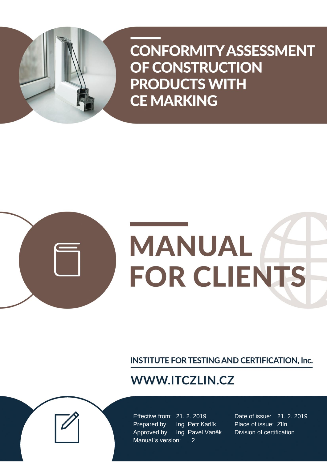



# **MANUAL FOR CLIENTS**

INSTITUTE FOR TESTING AND CERTIFICATION, Inc.

# **WWW.ITCZLIN.CZ**

Effective from: 21. 2. 2019 Date of issue: 21. 2. 2019 Prepared by: Ing. Petr Karlík Place of issue: Zlín Approved by: Ing. Pavel Vaněk Division of certification Manual's version: 2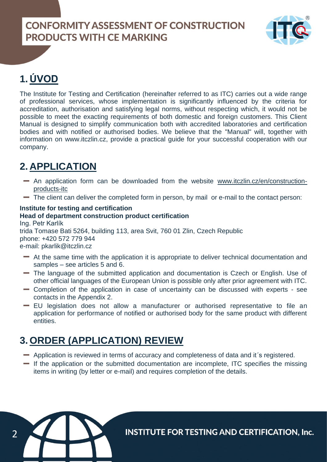

# **1. ÚVOD**

2

The Institute for Testing and Certification (hereinafter referred to as ITC) carries out a wide range of professional services, whose implementation is significantly influenced by the criteria for accreditation, authorisation and satisfying legal norms, without respecting which, it would not be possible to meet the exacting requirements of both domestic and foreign customers. This Client Manual is designed to simplify communication both with accredited laboratories and certification bodies and with notified or authorised bodies. We believe that the "Manual" will, together with information on [www.itczlin.cz,](http://www.itczlin.cz/) provide a practical guide for your successful cooperation with our company.

# **2. APPLICATION**

- An application form can be downloaded from the website [www.itczlin.cz/en/construction](http://www.itczlin.cz/en/construction-products-itc)[products-itc](http://www.itczlin.cz/en/construction-products-itc)
- The client can deliver the completed form in person, by mail or e-mail to the contact person:

## **Institute for testing and certification**

## **Head of department construction product certification**

Ing. Petr Karlík trida Tomase Bati 5264, building 113, area Svit, 760 01 Zlin, Czech Republic phone: +420 572 779 944 e-mail: [pkarlik@itczlin.cz](mailto:pkarlik@itczlin.cz)

- At the same time with the application it is appropriate to deliver technical documentation and samples – see articles 5 and 6.
- The language of the submitted application and documentation is Czech or English. Use of other official languages of the European Union is possible only after prior agreement with ITC.
- Completion of the application in case of uncertainty can be discussed with experts see contacts in the Appendix 2.
- EU legislation does not allow a manufacturer or authorised representative to file an application for performance of notified or authorised body for the same product with different entities.

# **3. ORDER (APPLICATION) REVIEW**

- Application is reviewed in terms of accuracy and completeness of data and it´s registered.
- If the application or the submitted documentation are incomplete, ITC specifies the missing items in writing (by letter or e-mail) and requires completion of the details.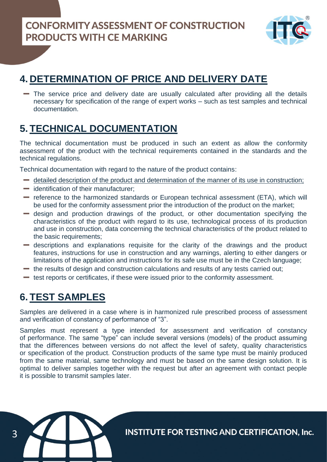

# **4. DETERMINATION OF PRICE AND DELIVERY DATE**

The service price and delivery date are usually calculated after providing all the details necessary for specification of the range of expert works – such as test samples and technical documentation.

## **5. TECHNICAL DOCUMENTATION**

The technical documentation must be produced in such an extent as allow the conformity assessment of the product with the technical requirements contained in the standards and the technical regulations.

Technical documentation with regard to the nature of the product contains:

- detailed description of the product and determination of the manner of its use in construction;
- $\blacksquare$  identification of their manufacturer;
- reference to the harmonized standards or European technical assessment (ETA), which will be used for the conformity assessment prior the introduction of the product on the market;
- design and production drawings of the product, or other documentation specifying the characteristics of the product with regard to its use, technological process of its production and use in construction, data concerning the technical characteristics of the product related to the basic requirements;
- descriptions and explanations requisite for the clarity of the drawings and the product features, instructions for use in construction and any warnings, alerting to either dangers or limitations of the application and instructions for its safe use must be in the Czech language;
- the results of design and construction calculations and results of any tests carried out;
- $\blacksquare$  test reports or certificates, if these were issued prior to the conformity assessment.

## **6. TEST SAMPLES**

Samples are delivered in a case where is in harmonized rule prescribed process of assessment and verification of constancy of performance of "3".

Samples must represent a type intended for assessment and verification of constancy of performance. The same "type" can include several versions (models) of the product assuming that the differences between versions do not affect the level of safety, quality characteristics or specification of the product. Construction products of the same type must be mainly produced from the same material, same technology and must be based on the same design solution. It is optimal to deliver samples together with the request but after an agreement with contact people it is possible to transmit samples later.

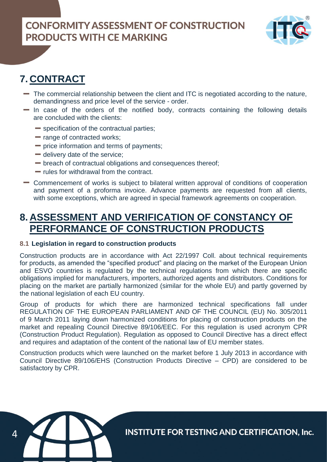

# **7. CONTRACT**

- The commercial relationship between the client and ITC is negotiated according to the nature, demandingness and price level of the service - order.
- $-$  In case of the orders of the notified body, contracts containing the following details are concluded with the clients:
	- specification of the contractual parties;
	- range of contracted works;
	- price information and terms of payments;
	- $\blacksquare$  delivery date of the service:
	- breach of contractual obligations and consequences thereof;
	- rules for withdrawal from the contract.
- Commencement of works is subject to bilateral written approval of conditions of cooperation and payment of a proforma invoice. Advance payments are requested from all clients, with some exceptions, which are agreed in special framework agreements on cooperation.

## **8. ASSESSMENT AND VERIFICATION OF CONSTANCY OF PERFORMANCE OF CONSTRUCTION PRODUCTS**

## **8.1 Legislation in regard to construction products**

Construction products are in accordance with Act 22/1997 Coll. about technical requirements for products, as amended the "specified product" and placing on the market of the European Union and ESVO countries is regulated by the technical regulations from which there are specific obligations implied for manufacturers, importers, authorized agents and distributors. Conditions for placing on the market are partially harmonized (similar for the whole EU) and partly governed by the national legislation of each EU country.

Group of products for which there are harmonized technical specifications fall under REGULATION OF THE EUROPEAN PARLIAMENT AND OF THE COUNCIL (EU) No. 305/2011 of 9 March 2011 laying down harmonized conditions for placing of construction products on the market and repealing Council Directive 89/106/EEC. For this regulation is used acronym CPR (Construction Product Regulation). Regulation as opposed to Council Directive has a direct effect and requires and adaptation of the content of the national law of EU member states.

Construction products which were launched on the market before 1 July 2013 in accordance with Council Directive 89/106/EHS (Construction Products Directive – CPD) are considered to be satisfactory by CPR.

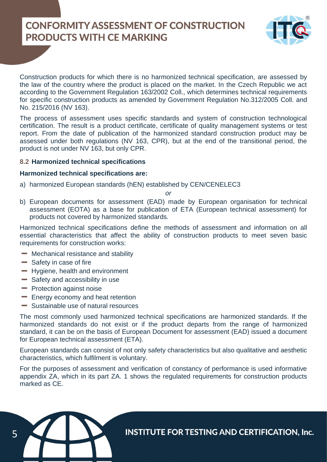

Construction products for which there is no harmonized technical specification, are assessed by the law of the country where the product is placed on the market. In the Czech Republic we act according to the Government Regulation 163/2002 Coll., which determines technical requirements for specific construction products as amended by Government Regulation No.312/2005 Coll. and No. 215/2016 (NV 163).

The process of assessment uses specific standards and system of construction technological certification. The result is a product certificate, certificate of quality management systems or test report. From the date of publication of the harmonized standard construction product may be assessed under both regulations (NV 163, CPR), but at the end of the transitional period, the product is not under NV 163, but only CPR.

## **8.2 Harmonized technical specifications**

## **Harmonized technical specifications are:**

a) harmonized European standards (hEN) established by CEN/CENELEC3

#### *or*

b) European documents for assessment (EAD) made by European organisation for technical assessment (EOTA) as a base for publication of ETA (European technical assessment) for products not covered by harmonized standards.

Harmonized technical specifications define the methods of assessment and information on all essential characteristics that affect the ability of construction products to meet seven basic requirements for construction works:

- **-** Mechanical resistance and stability
- $-$  Safety in case of fire
- **Hygiene, health and environment**
- $-$  Safety and accessibility in use
- **-** Protection against noise
- **Energy economy and heat retention**
- Sustainable use of natural resources

The most commonly used harmonized technical specifications are harmonized standards. If the harmonized standards do not exist or if the product departs from the range of harmonized standard, it can be on the basis of European Document for assessment (EAD) issued a document for European technical assessment (ETA).

European standards can consist of not only safety characteristics but also qualitative and aesthetic characteristics, which fulfilment is voluntary.

For the purposes of assessment and verification of constancy of performance is used informative appendix ZA, which in its part ZA. 1 shows the regulated requirements for construction products marked as CE.

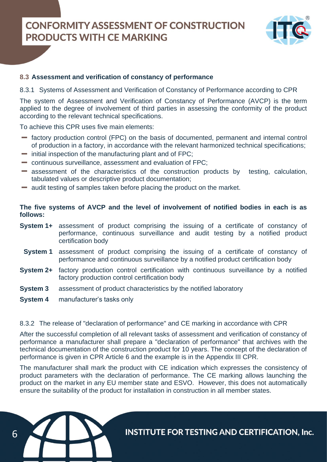

## **8.3 Assessment and verification of constancy of performance**

8.3.1 Systems of Assessment and Verification of Constancy of Performance according to CPR

The system of Assessment and Verification of Constancy of Performance (AVCP) is the term applied to the degree of involvement of third parties in assessing the conformity of the product according to the relevant technical specifications.

To achieve this CPR uses five main elements:

- factory production control (FPC) on the basis of documented, permanent and internal control of production in a factory, in accordance with the relevant harmonized technical specifications;
- $\blacksquare$  initial inspection of the manufacturing plant and of FPC;
- continuous surveillance, assessment and evaluation of FPC;
- assessment of the characteristics of the construction products by testing, calculation, tabulated values or descriptive product documentation;
- audit testing of samples taken before placing the product on the market.

## **The five systems of AVCP and the level of involvement of notified bodies in each is as follows:**

- **System 1+** assessment of product comprising the issuing of a certificate of constancy of performance, continuous surveillance and audit testing by a notified product certification body
	- **System 1** assessment of product comprising the issuing of a certificate of constancy of performance and continuous surveillance by a notified product certification body
- **System 2+** factory production control certification with continuous surveillance by a notified factory production control certification body
- **System 3** assessment of product characteristics by the notified laboratory
- **System 4** manufacturer's tasks only

## 8.3.2 The release of "declaration of performance" and CE marking in accordance with CPR

After the successful completion of all relevant tasks of assessment and verification of constancy of performance a manufacturer shall prepare a "declaration of performance" that archives with the technical documentation of the construction product for 10 years. The concept of the declaration of performance is given in CPR Article 6 and the example is in the Appendix III CPR.

The manufacturer shall mark the product with CE indication which expresses the consistency of product parameters with the declaration of performance. The CE marking allows launching the product on the market in any EU member state and ESVO. However, this does not automatically ensure the suitability of the product for installation in construction in all member states.

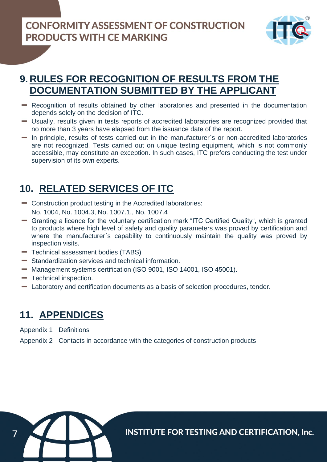

# **9. RULES FOR RECOGNITION OF RESULTS FROM THE DOCUMENTATION SUBMITTED BY THE APPLICANT**

- Recognition of results obtained by other laboratories and presented in the documentation depends solely on the decision of ITC.
- Usually, results given in tests reports of accredited laboratories are recognized provided that no more than 3 years have elapsed from the issuance date of the report.
- In principle, results of tests carried out in the manufacturer´s or non-accredited laboratories are not recognized. Tests carried out on unique testing equipment, which is not commonly accessible, may constitute an exception. In such cases, ITC prefers conducting the test under supervision of its own experts.

# **10. RELATED SERVICES OF ITC**

- Construction product testing in the Accredited laboratories: No. 1004, No. 1004.3, No. 1007.1., No. 1007.4
- Granting a licence for the voluntary certification mark "ITC Certified Quality", which is granted to products where high level of safety and quality parameters was proved by certification and where the manufacturer's capability to continuously maintain the quality was proved by inspection visits.
- $\blacksquare$  Technical assessment bodies (TABS)
- Standardization services and technical information.
- Management systems certification (ISO 9001, ISO 14001, ISO 45001).
- **Technical inspection.**
- Laboratory and certification documents as a basis of selection procedures, tender.

## **11. APPENDICES**

Appendix 1 Definitions

Appendix 2 Contacts in accordance with the categories of construction products

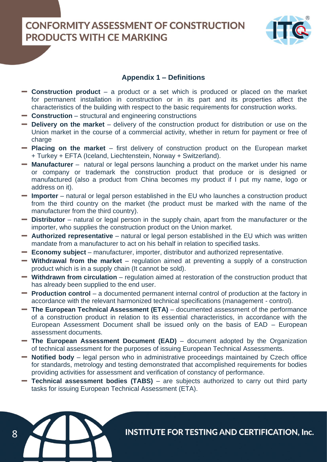

## **Appendix 1 – Definitions**

- **Construction product**  a product or a set which is produced or placed on the market for permanent installation in construction or in its part and its properties affect the characteristics of the building with respect to the basic requirements for construction works.
- **Construction**  structural and engineering constructions

8

- **Delivery on the market**  delivery of the construction product for distribution or use on the Union market in the course of a commercial activity, whether in return for payment or free of charge
- **Placing on the market**  first delivery of construction product on the European market + Turkey + EFTA (Iceland, Liechtenstein, Norway + Switzerland).
- **Manufacturer** natural or legal persons launching a product on the market under his name or company or trademark the construction product that produce or is designed or manufactured (also a product from China becomes my product if I put my name, logo or address on it).
- **Importer** natural or legal person established in the EU who launches a construction product from the third country on the market (the product must be marked with the name of the manufacturer from the third country).
- **Distributor** natural or legal person in the supply chain, apart from the manufacturer or the importer, who supplies the construction product on the Union market.
- **Authorized representative**  natural or legal person established in the EU which was written mandate from a manufacturer to act on his behalf in relation to specified tasks.
- **Economy subject**  manufacturer, importer, distributor and authorized representative.
- **Withdrawal from the market** regulation aimed at preventing a supply of a construction product which is in a supply chain (It cannot be sold).
- **Withdrawn from circulation** regulation aimed at restoration of the construction product that has already been supplied to the end user.
- **Production control** a documented permanent internal control of production at the factory in accordance with the relevant harmonized technical specifications (management - control).
- **The European Technical Assessment (ETA)**  documented assessment of the performance of a construction product in relation to its essential characteristics, in accordance with the European Assessment Document shall be issued only on the basis of EAD – European assessment documents.
- **The European Assessment Document (EAD)**  document adopted by the Organization of technical assessment for the purposes of issuing European Technical Assessments.
- **Notified body** legal person who in administrative proceedings maintained by Czech office for standards, metrology and testing demonstrated that accomplished requirements for bodies providing activities for assessment and verification of constancy of performance.
- **Technical assessment bodies (TABS)** are subjects authorized to carry out third party tasks for issuing European Technical Assessment (ETA).

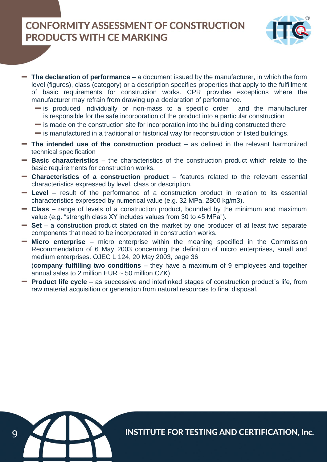

- **The declaration of performance** a document issued by the manufacturer, in which the form level (figures), class (category) or a description specifies properties that apply to the fulfillment of basic requirements for construction works. CPR provides exceptions where the manufacturer may refrain from drawing up a declaration of performance.
	- $\equiv$  is produced individually or non-mass to a specific order and the manufacturer is responsible for the safe incorporation of the product into a particular construction
	- $\equiv$  is made on the construction site for incorporation into the building constructed there
	- $\blacksquare$  is manufactured in a traditional or historical way for reconstruction of listed buildings.
- **The intended use of the construction product** as defined in the relevant harmonized technical specification
- **Basic characteristics** the characteristics of the construction product which relate to the basic requirements for construction works.
- **Characteristics of a construction product** features related to the relevant essential characteristics expressed by level, class or description.
- **Level** result of the performance of a construction product in relation to its essential characteristics expressed by numerical value (e.g. 32 MPa, 2800 kg/m3).
- **Class** range of levels of a construction product, bounded by the minimum and maximum value (e.g. "strength class XY includes values from 30 to 45 MPa").
- **Set** a construction product stated on the market by one producer of at least two separate components that need to be incorporated in construction works.
- **Micro enterprise** micro enterprise within the meaning specified in the Commission Recommendation of 6 May 2003 concerning the definition of micro enterprises, small and medium enterprises. OJEC L 124, 20 May 2003, page 36
- (**company fulfilling two conditions** they have a maximum of 9 employees and together annual sales to 2 million  $EUR \sim 50$  million  $CZK$ )
- **Product life cycle** as successive and interlinked stages of construction product's life, from raw material acquisition or generation from natural resources to final disposal.

9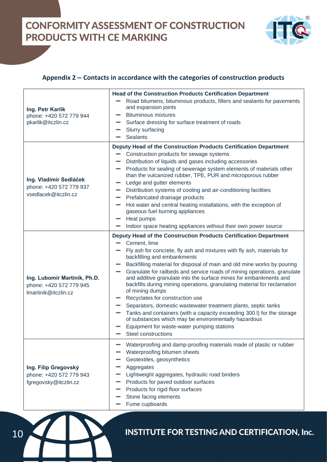

## **Appendix 2 – Contacts in accordance with the categories of construction products**

| Ing. Petr Karlík<br>phone: +420 572 779 944<br>pkarlik@itczlin.cz               | <b>Head of the Construction Products Certification Department</b><br>Road bitumens, bituminous products, fillers and sealants for pavements<br>and expansion joints<br><b>Bituminous mixtures</b><br>Surface dressing for surface treatment of roads<br><b>Contract</b><br>Slurry surfacing<br><b>Sealants</b>                                                                                                                                                                                                                                                                                                                                                                                                                                                                                                                                      |
|---------------------------------------------------------------------------------|-----------------------------------------------------------------------------------------------------------------------------------------------------------------------------------------------------------------------------------------------------------------------------------------------------------------------------------------------------------------------------------------------------------------------------------------------------------------------------------------------------------------------------------------------------------------------------------------------------------------------------------------------------------------------------------------------------------------------------------------------------------------------------------------------------------------------------------------------------|
| Ing. Vladimír Sedláček<br>phone: +420 572 779 937<br>vsedlacek@itczlin.cz       | Deputy Head of the Construction Products Certification Department<br>Construction products for sewage systems<br>Distribution of liquids and gases including accessories<br>Products for sealing of sewerage system elements of materials other<br><b>College</b><br>than the vulcanized rubber, TPE, PUR and microporous rubber<br>Ledge and gutter elements<br>Distribution systems of cooling and air-conditioning facilities<br>Prefabricated drainage products<br>Hot water and central heating installations, with the exception of<br>gaseous fuel burning appliances<br>Heat pumps<br>Indoor space heating appliances without their own power source                                                                                                                                                                                        |
| Ing. Lubomír Martiník, Ph.D.<br>phone: +420 572 779 945<br>Imartinik@itczlin.cz | Deputy Head of the Construction Products Certification Department<br>Cement, lime<br>Fly ash for concrete, fly ash and mixtures with fly ash, materials for<br>backfilling and embankments<br>Backfilling material for disposal of main and old mine works by pouring<br>Granulate for railbeds and service roads of mining operations, granulate<br>and additive granulate into the surface mines for embankments and<br>backfills during mining operations, granulating material for reclamation<br>of mining dumps<br>Recyclates for construction use<br>Separators, domestic wastewater treatment plants, septic tanks<br>Tanks and containers (with a capacity exceeding 300 l) for the storage<br><b>College</b><br>of substances which may be environmentally hazardous<br>Equipment for waste-water pumping stations<br>Steel constructions |
| Ing. Filip Gregovský<br>phone: +420 572 779 943<br>fgregovsky@itczlin.cz        | Waterproofing and damp-proofing materials made of plastic or rubber<br>Waterproofing bitumen sheets<br>Geotextiles, geosynthetics<br>Aggregates<br>Lightweight aggregates, hydraulic road binders<br>Products for paved outdoor surfaces<br>Products for rigid floor surfaces<br>Stone facing elements<br>Fume cupboards                                                                                                                                                                                                                                                                                                                                                                                                                                                                                                                            |

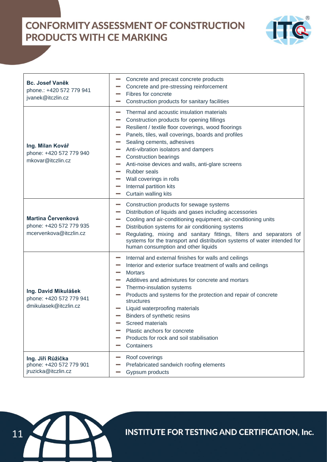

| <b>Bc. Josef Vaněk</b><br>phone.: +420 572 779 941<br>jvanek@itczlin.cz  | Concrete and precast concrete products<br>Concrete and pre-stressing reinforcement<br>Fibres for concrete<br>Construction products for sanitary facilities                                                                                                                                                                                                                                                                                                                                       |
|--------------------------------------------------------------------------|--------------------------------------------------------------------------------------------------------------------------------------------------------------------------------------------------------------------------------------------------------------------------------------------------------------------------------------------------------------------------------------------------------------------------------------------------------------------------------------------------|
| Ing. Milan Kovář<br>phone: +420 572 779 940<br>mkovar@itczlin.cz         | Thermal and acoustic insulation materials<br>Construction products for opening fillings<br>Resilient / textile floor coverings, wood floorings<br>Panels, tiles, wall coverings, boards and profiles<br>Sealing cements, adhesives<br>Anti-vibration isolators and dampers<br><b>Construction bearings</b><br>Anti-noise devices and walls, anti-glare screens<br><b>Rubber seals</b><br>Wall coverings in rolls<br>Internal partition kits<br>Curtain walling kits                              |
| Martina Červenková<br>phone: +420 572 779 935<br>mcervenkova@itczlin.cz  | Construction products for sewage systems<br><b>College</b><br>Distribution of liquids and gases including accessories<br><b>College</b><br>Cooling and air-conditioning equipment, air-conditioning units<br>Distribution systems for air conditioning systems<br>Regulating, mixing and sanitary fittings, filters and separators of<br>systems for the transport and distribution systems of water intended for<br>human consumption and other liquids                                         |
| Ing. David Mikulášek<br>phone: +420 572 779 941<br>dmikulasek@itczlin.cz | Internal and external finishes for walls and ceilings<br>Interior and exterior surface treatment of walls and ceilings<br><b>Mortars</b><br>Additives and admixtures for concrete and mortars<br>Thermo-insulation systems<br>Products and systems for the protection and repair of concrete<br>structures<br>Liquid waterproofing materials<br>Binders of synthetic resins<br><b>Screed materials</b><br>Plastic anchors for concrete<br>Products for rock and soil stabilisation<br>Containers |
| Ing. Jiří Růžička<br>phone: +420 572 779 901<br>jruzicka@itczlin.cz      | Roof coverings<br>Prefabricated sandwich roofing elements<br>Gypsum products                                                                                                                                                                                                                                                                                                                                                                                                                     |